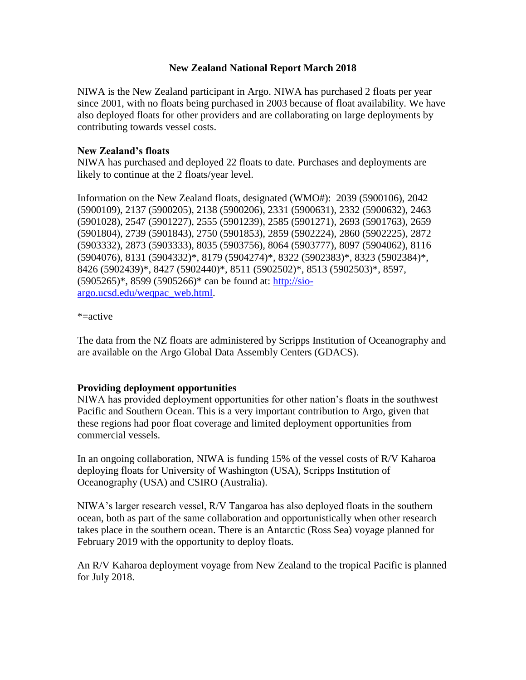# **New Zealand National Report March 2018**

NIWA is the New Zealand participant in Argo. NIWA has purchased 2 floats per year since 2001, with no floats being purchased in 2003 because of float availability. We have also deployed floats for other providers and are collaborating on large deployments by contributing towards vessel costs.

# **New Zealand's floats**

NIWA has purchased and deployed 22 floats to date. Purchases and deployments are likely to continue at the 2 floats/year level.

Information on the New Zealand floats, designated (WMO#): 2039 (5900106), 2042 (5900109), 2137 (5900205), 2138 (5900206), 2331 (5900631), 2332 (5900632), 2463 (5901028), 2547 (5901227), 2555 (5901239), 2585 (5901271), 2693 (5901763), 2659 (5901804), 2739 (5901843), 2750 (5901853), 2859 (5902224), 2860 (5902225), 2872 (5903332), 2873 (5903333), 8035 (5903756), 8064 (5903777), 8097 (5904062), 8116 (5904076), 8131 (5904332)\*, 8179 (5904274)\*, 8322 (5902383)\*, 8323 (5902384)\*, 8426 (5902439)\*, 8427 (5902440)\*, 8511 (5902502)\*, 8513 (5902503)\*, 8597, (5905265)\*, 8599 (5905266)\* can be found at: [http://sio](http://sio-argo.ucsd.edu/weqpac_web.html)[argo.ucsd.edu/weqpac\\_web.html.](http://sio-argo.ucsd.edu/weqpac_web.html)

### \*=active

The data from the NZ floats are administered by Scripps Institution of Oceanography and are available on the Argo Global Data Assembly Centers (GDACS).

### **Providing deployment opportunities**

NIWA has provided deployment opportunities for other nation's floats in the southwest Pacific and Southern Ocean. This is a very important contribution to Argo, given that these regions had poor float coverage and limited deployment opportunities from commercial vessels.

In an ongoing collaboration, NIWA is funding 15% of the vessel costs of R/V Kaharoa deploying floats for University of Washington (USA), Scripps Institution of Oceanography (USA) and CSIRO (Australia).

NIWA's larger research vessel, R/V Tangaroa has also deployed floats in the southern ocean, both as part of the same collaboration and opportunistically when other research takes place in the southern ocean. There is an Antarctic (Ross Sea) voyage planned for February 2019 with the opportunity to deploy floats.

An R/V Kaharoa deployment voyage from New Zealand to the tropical Pacific is planned for July 2018.